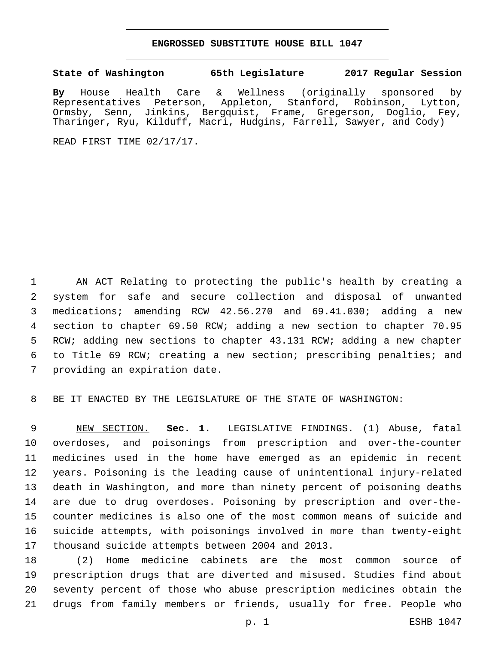## **ENGROSSED SUBSTITUTE HOUSE BILL 1047**

## **State of Washington 65th Legislature 2017 Regular Session**

**By** House Health Care & Wellness (originally sponsored by Representatives Peterson, Appleton, Stanford, Robinson, Lytton, Ormsby, Senn, Jinkins, Bergquist, Frame, Gregerson, Doglio, Fey, Tharinger, Ryu, Kilduff, Macri, Hudgins, Farrell, Sawyer, and Cody)

READ FIRST TIME 02/17/17.

 AN ACT Relating to protecting the public's health by creating a system for safe and secure collection and disposal of unwanted medications; amending RCW 42.56.270 and 69.41.030; adding a new section to chapter 69.50 RCW; adding a new section to chapter 70.95 RCW; adding new sections to chapter 43.131 RCW; adding a new chapter to Title 69 RCW; creating a new section; prescribing penalties; and 7 providing an expiration date.

BE IT ENACTED BY THE LEGISLATURE OF THE STATE OF WASHINGTON:

 NEW SECTION. **Sec. 1.** LEGISLATIVE FINDINGS. (1) Abuse, fatal overdoses, and poisonings from prescription and over-the-counter medicines used in the home have emerged as an epidemic in recent years. Poisoning is the leading cause of unintentional injury-related death in Washington, and more than ninety percent of poisoning deaths are due to drug overdoses. Poisoning by prescription and over-the- counter medicines is also one of the most common means of suicide and suicide attempts, with poisonings involved in more than twenty-eight thousand suicide attempts between 2004 and 2013.

 (2) Home medicine cabinets are the most common source of prescription drugs that are diverted and misused. Studies find about seventy percent of those who abuse prescription medicines obtain the drugs from family members or friends, usually for free. People who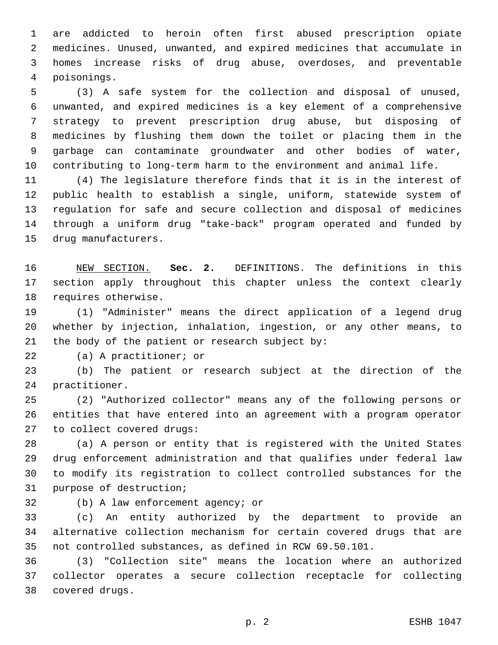are addicted to heroin often first abused prescription opiate medicines. Unused, unwanted, and expired medicines that accumulate in homes increase risks of drug abuse, overdoses, and preventable poisonings.4

 (3) A safe system for the collection and disposal of unused, unwanted, and expired medicines is a key element of a comprehensive strategy to prevent prescription drug abuse, but disposing of medicines by flushing them down the toilet or placing them in the garbage can contaminate groundwater and other bodies of water, contributing to long-term harm to the environment and animal life.

 (4) The legislature therefore finds that it is in the interest of public health to establish a single, uniform, statewide system of regulation for safe and secure collection and disposal of medicines through a uniform drug "take-back" program operated and funded by 15 drug manufacturers.

 NEW SECTION. **Sec. 2.** DEFINITIONS. The definitions in this section apply throughout this chapter unless the context clearly requires otherwise.

 (1) "Administer" means the direct application of a legend drug whether by injection, inhalation, ingestion, or any other means, to 21 the body of the patient or research subject by:

22 (a) A practitioner; or

 (b) The patient or research subject at the direction of the 24 practitioner.

 (2) "Authorized collector" means any of the following persons or entities that have entered into an agreement with a program operator 27 to collect covered drugs:

 (a) A person or entity that is registered with the United States drug enforcement administration and that qualifies under federal law to modify its registration to collect controlled substances for the 31 purpose of destruction;

32 (b) A law enforcement agency; or

 (c) An entity authorized by the department to provide an alternative collection mechanism for certain covered drugs that are not controlled substances, as defined in RCW 69.50.101.

 (3) "Collection site" means the location where an authorized collector operates a secure collection receptacle for collecting covered drugs.38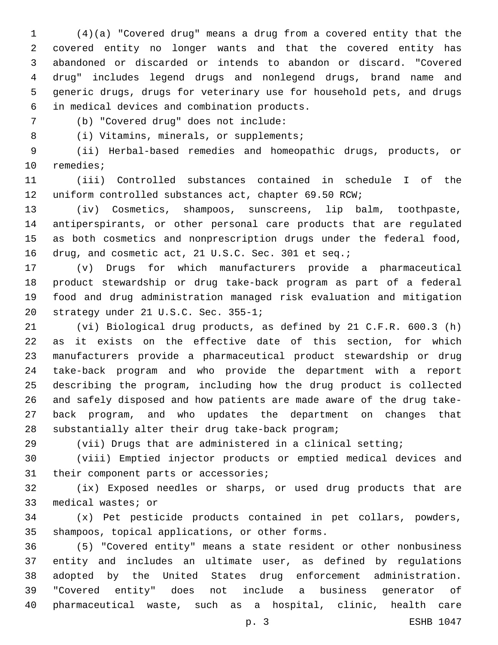(4)(a) "Covered drug" means a drug from a covered entity that the covered entity no longer wants and that the covered entity has abandoned or discarded or intends to abandon or discard. "Covered drug" includes legend drugs and nonlegend drugs, brand name and generic drugs, drugs for veterinary use for household pets, and drugs in medical devices and combination products.6

(b) "Covered drug" does not include:7

8 (i) Vitamins, minerals, or supplements;

 (ii) Herbal-based remedies and homeopathic drugs, products, or 10 remedies;

 (iii) Controlled substances contained in schedule I of the uniform controlled substances act, chapter 69.50 RCW;

 (iv) Cosmetics, shampoos, sunscreens, lip balm, toothpaste, antiperspirants, or other personal care products that are regulated as both cosmetics and nonprescription drugs under the federal food, 16 drug, and cosmetic act, 21 U.S.C. Sec. 301 et seq.;

 (v) Drugs for which manufacturers provide a pharmaceutical product stewardship or drug take-back program as part of a federal food and drug administration managed risk evaluation and mitigation 20 strategy under 21 U.S.C. Sec. 355-1;

 (vi) Biological drug products, as defined by 21 C.F.R. 600.3 (h) as it exists on the effective date of this section, for which manufacturers provide a pharmaceutical product stewardship or drug take-back program and who provide the department with a report describing the program, including how the drug product is collected and safely disposed and how patients are made aware of the drug take- back program, and who updates the department on changes that 28 substantially alter their drug take-back program;

(vii) Drugs that are administered in a clinical setting;

 (viii) Emptied injector products or emptied medical devices and 31 their component parts or accessories;

 (ix) Exposed needles or sharps, or used drug products that are 33 medical wastes; or

 (x) Pet pesticide products contained in pet collars, powders, 35 shampoos, topical applications, or other forms.

 (5) "Covered entity" means a state resident or other nonbusiness entity and includes an ultimate user, as defined by regulations adopted by the United States drug enforcement administration. "Covered entity" does not include a business generator of pharmaceutical waste, such as a hospital, clinic, health care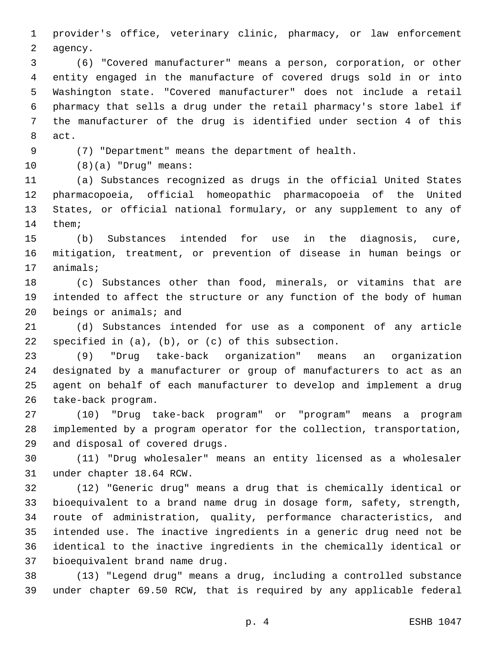provider's office, veterinary clinic, pharmacy, or law enforcement 2 agency.

 (6) "Covered manufacturer" means a person, corporation, or other entity engaged in the manufacture of covered drugs sold in or into Washington state. "Covered manufacturer" does not include a retail pharmacy that sells a drug under the retail pharmacy's store label if the manufacturer of the drug is identified under section 4 of this 8 act.

(7) "Department" means the department of health.

(8)(a) "Drug" means:10

 (a) Substances recognized as drugs in the official United States pharmacopoeia, official homeopathic pharmacopoeia of the United States, or official national formulary, or any supplement to any of 14 them;

 (b) Substances intended for use in the diagnosis, cure, mitigation, treatment, or prevention of disease in human beings or 17 animals;

 (c) Substances other than food, minerals, or vitamins that are intended to affect the structure or any function of the body of human beings or animals; and

 (d) Substances intended for use as a component of any article 22 specified in  $(a)$ ,  $(b)$ , or  $(c)$  of this subsection.

 (9) "Drug take-back organization" means an organization designated by a manufacturer or group of manufacturers to act as an agent on behalf of each manufacturer to develop and implement a drug 26 take-back program.

 (10) "Drug take-back program" or "program" means a program implemented by a program operator for the collection, transportation, 29 and disposal of covered drugs.

 (11) "Drug wholesaler" means an entity licensed as a wholesaler 31 under chapter 18.64 RCW.

 (12) "Generic drug" means a drug that is chemically identical or bioequivalent to a brand name drug in dosage form, safety, strength, route of administration, quality, performance characteristics, and intended use. The inactive ingredients in a generic drug need not be identical to the inactive ingredients in the chemically identical or 37 bioequivalent brand name drug.

 (13) "Legend drug" means a drug, including a controlled substance under chapter 69.50 RCW, that is required by any applicable federal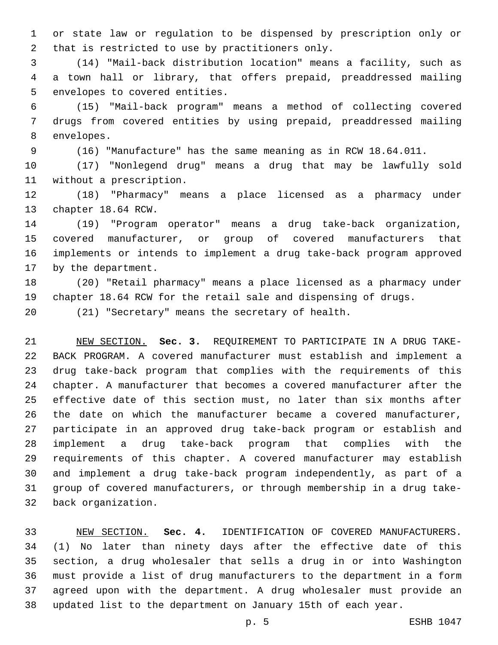or state law or regulation to be dispensed by prescription only or 2 that is restricted to use by practitioners only.

 (14) "Mail-back distribution location" means a facility, such as a town hall or library, that offers prepaid, preaddressed mailing 5 envelopes to covered entities.

 (15) "Mail-back program" means a method of collecting covered drugs from covered entities by using prepaid, preaddressed mailing 8 envelopes.

(16) "Manufacture" has the same meaning as in RCW 18.64.011.

 (17) "Nonlegend drug" means a drug that may be lawfully sold 11 without a prescription.

 (18) "Pharmacy" means a place licensed as a pharmacy under 13 chapter 18.64 RCW.

 (19) "Program operator" means a drug take-back organization, covered manufacturer, or group of covered manufacturers that implements or intends to implement a drug take-back program approved 17 by the department.

 (20) "Retail pharmacy" means a place licensed as a pharmacy under chapter 18.64 RCW for the retail sale and dispensing of drugs.

(21) "Secretary" means the secretary of health.

 NEW SECTION. **Sec. 3.** REQUIREMENT TO PARTICIPATE IN A DRUG TAKE- BACK PROGRAM. A covered manufacturer must establish and implement a drug take-back program that complies with the requirements of this chapter. A manufacturer that becomes a covered manufacturer after the effective date of this section must, no later than six months after the date on which the manufacturer became a covered manufacturer, participate in an approved drug take-back program or establish and implement a drug take-back program that complies with the requirements of this chapter. A covered manufacturer may establish and implement a drug take-back program independently, as part of a group of covered manufacturers, or through membership in a drug take-back organization.

 NEW SECTION. **Sec. 4.** IDENTIFICATION OF COVERED MANUFACTURERS. (1) No later than ninety days after the effective date of this section, a drug wholesaler that sells a drug in or into Washington must provide a list of drug manufacturers to the department in a form agreed upon with the department. A drug wholesaler must provide an updated list to the department on January 15th of each year.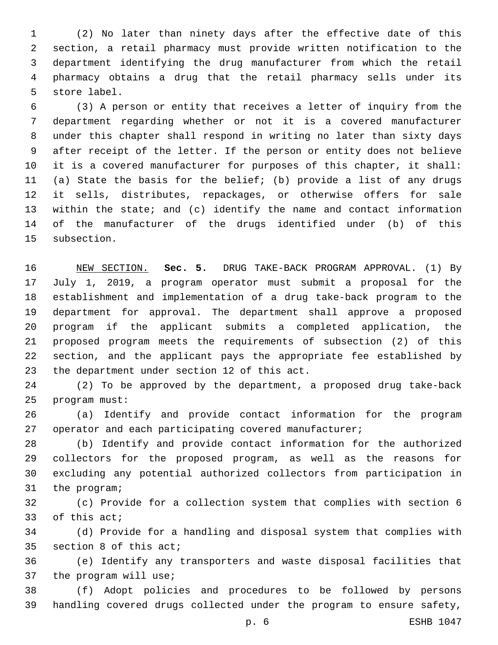(2) No later than ninety days after the effective date of this section, a retail pharmacy must provide written notification to the department identifying the drug manufacturer from which the retail pharmacy obtains a drug that the retail pharmacy sells under its 5 store label.

 (3) A person or entity that receives a letter of inquiry from the department regarding whether or not it is a covered manufacturer under this chapter shall respond in writing no later than sixty days after receipt of the letter. If the person or entity does not believe it is a covered manufacturer for purposes of this chapter, it shall: (a) State the basis for the belief; (b) provide a list of any drugs it sells, distributes, repackages, or otherwise offers for sale within the state; and (c) identify the name and contact information of the manufacturer of the drugs identified under (b) of this 15 subsection.

 NEW SECTION. **Sec. 5.** DRUG TAKE-BACK PROGRAM APPROVAL. (1) By July 1, 2019, a program operator must submit a proposal for the establishment and implementation of a drug take-back program to the department for approval. The department shall approve a proposed program if the applicant submits a completed application, the proposed program meets the requirements of subsection (2) of this section, and the applicant pays the appropriate fee established by the department under section 12 of this act.

 (2) To be approved by the department, a proposed drug take-back 25 program must:

 (a) Identify and provide contact information for the program 27 operator and each participating covered manufacturer;

 (b) Identify and provide contact information for the authorized collectors for the proposed program, as well as the reasons for excluding any potential authorized collectors from participation in 31 the program;

 (c) Provide for a collection system that complies with section 6 33 of this act;

 (d) Provide for a handling and disposal system that complies with 35 section 8 of this act;

 (e) Identify any transporters and waste disposal facilities that 37 the program will use;

 (f) Adopt policies and procedures to be followed by persons handling covered drugs collected under the program to ensure safety,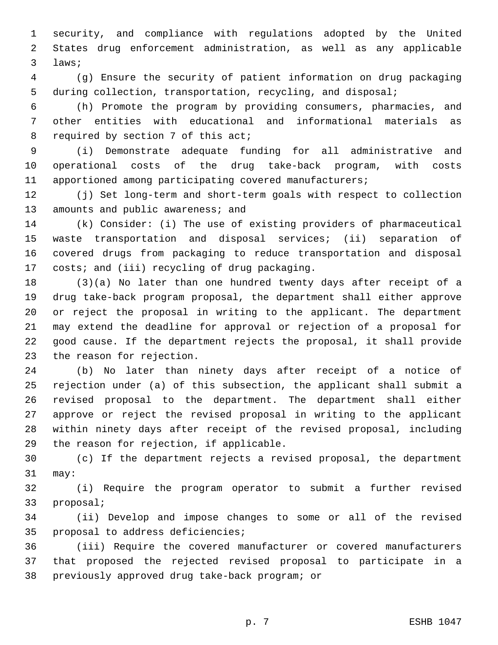security, and compliance with regulations adopted by the United States drug enforcement administration, as well as any applicable 3 laws;

 (g) Ensure the security of patient information on drug packaging during collection, transportation, recycling, and disposal;

 (h) Promote the program by providing consumers, pharmacies, and other entities with educational and informational materials as 8 required by section 7 of this act;

 (i) Demonstrate adequate funding for all administrative and operational costs of the drug take-back program, with costs apportioned among participating covered manufacturers;

 (j) Set long-term and short-term goals with respect to collection 13 amounts and public awareness; and

 (k) Consider: (i) The use of existing providers of pharmaceutical waste transportation and disposal services; (ii) separation of covered drugs from packaging to reduce transportation and disposal 17 costs; and (iii) recycling of drug packaging.

 (3)(a) No later than one hundred twenty days after receipt of a drug take-back program proposal, the department shall either approve or reject the proposal in writing to the applicant. The department may extend the deadline for approval or rejection of a proposal for good cause. If the department rejects the proposal, it shall provide 23 the reason for rejection.

 (b) No later than ninety days after receipt of a notice of rejection under (a) of this subsection, the applicant shall submit a revised proposal to the department. The department shall either approve or reject the revised proposal in writing to the applicant within ninety days after receipt of the revised proposal, including 29 the reason for rejection, if applicable.

 (c) If the department rejects a revised proposal, the department 31 may:

 (i) Require the program operator to submit a further revised 33 proposal;

 (ii) Develop and impose changes to some or all of the revised 35 proposal to address deficiencies;

 (iii) Require the covered manufacturer or covered manufacturers that proposed the rejected revised proposal to participate in a 38 previously approved drug take-back program; or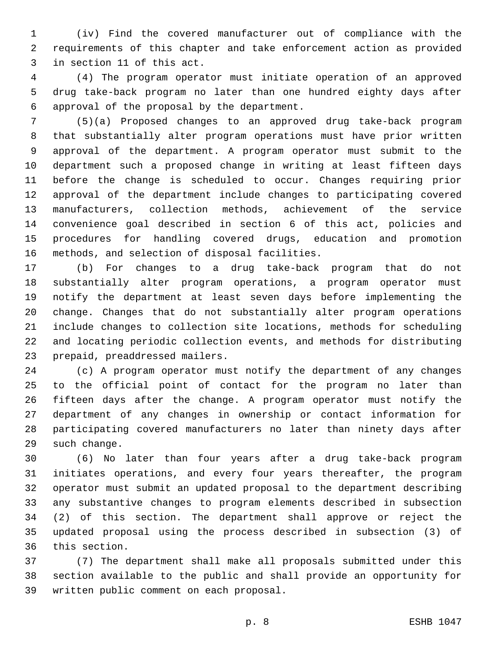(iv) Find the covered manufacturer out of compliance with the requirements of this chapter and take enforcement action as provided 3 in section 11 of this act.

 (4) The program operator must initiate operation of an approved drug take-back program no later than one hundred eighty days after 6 approval of the proposal by the department.

 (5)(a) Proposed changes to an approved drug take-back program that substantially alter program operations must have prior written approval of the department. A program operator must submit to the department such a proposed change in writing at least fifteen days before the change is scheduled to occur. Changes requiring prior approval of the department include changes to participating covered manufacturers, collection methods, achievement of the service convenience goal described in section 6 of this act, policies and procedures for handling covered drugs, education and promotion 16 methods, and selection of disposal facilities.

 (b) For changes to a drug take-back program that do not substantially alter program operations, a program operator must notify the department at least seven days before implementing the change. Changes that do not substantially alter program operations include changes to collection site locations, methods for scheduling and locating periodic collection events, and methods for distributing 23 prepaid, preaddressed mailers.

 (c) A program operator must notify the department of any changes to the official point of contact for the program no later than fifteen days after the change. A program operator must notify the department of any changes in ownership or contact information for participating covered manufacturers no later than ninety days after 29 such change.

 (6) No later than four years after a drug take-back program initiates operations, and every four years thereafter, the program operator must submit an updated proposal to the department describing any substantive changes to program elements described in subsection (2) of this section. The department shall approve or reject the updated proposal using the process described in subsection (3) of 36 this section.

 (7) The department shall make all proposals submitted under this section available to the public and shall provide an opportunity for 39 written public comment on each proposal.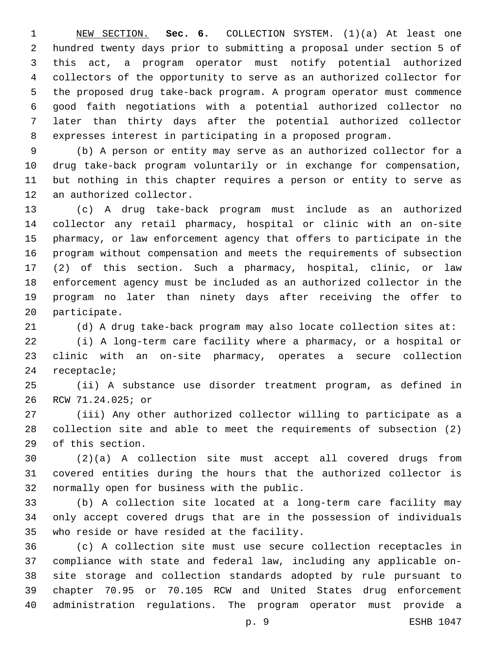NEW SECTION. **Sec. 6.** COLLECTION SYSTEM. (1)(a) At least one hundred twenty days prior to submitting a proposal under section 5 of this act, a program operator must notify potential authorized collectors of the opportunity to serve as an authorized collector for the proposed drug take-back program. A program operator must commence good faith negotiations with a potential authorized collector no later than thirty days after the potential authorized collector expresses interest in participating in a proposed program.

 (b) A person or entity may serve as an authorized collector for a drug take-back program voluntarily or in exchange for compensation, but nothing in this chapter requires a person or entity to serve as 12 an authorized collector.

 (c) A drug take-back program must include as an authorized collector any retail pharmacy, hospital or clinic with an on-site pharmacy, or law enforcement agency that offers to participate in the program without compensation and meets the requirements of subsection (2) of this section. Such a pharmacy, hospital, clinic, or law enforcement agency must be included as an authorized collector in the program no later than ninety days after receiving the offer to 20 participate.

(d) A drug take-back program may also locate collection sites at:

 (i) A long-term care facility where a pharmacy, or a hospital or clinic with an on-site pharmacy, operates a secure collection 24 receptacle;

 (ii) A substance use disorder treatment program, as defined in 26 RCW 71.24.025; or

 (iii) Any other authorized collector willing to participate as a collection site and able to meet the requirements of subsection (2) 29 of this section.

 (2)(a) A collection site must accept all covered drugs from covered entities during the hours that the authorized collector is 32 normally open for business with the public.

 (b) A collection site located at a long-term care facility may only accept covered drugs that are in the possession of individuals 35 who reside or have resided at the facility.

 (c) A collection site must use secure collection receptacles in compliance with state and federal law, including any applicable on- site storage and collection standards adopted by rule pursuant to chapter 70.95 or 70.105 RCW and United States drug enforcement administration regulations. The program operator must provide a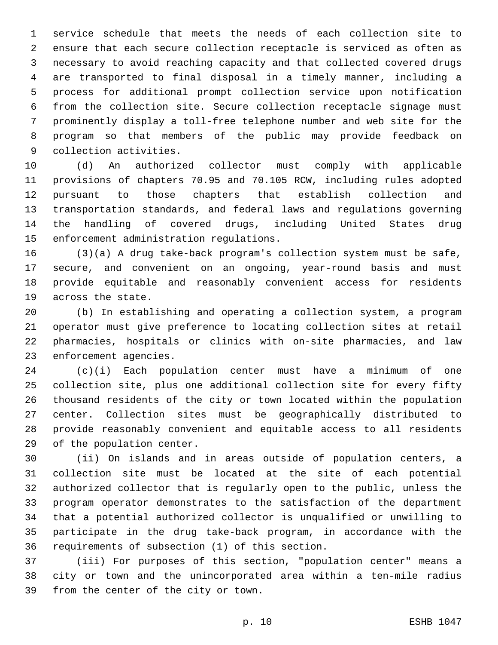service schedule that meets the needs of each collection site to ensure that each secure collection receptacle is serviced as often as necessary to avoid reaching capacity and that collected covered drugs are transported to final disposal in a timely manner, including a process for additional prompt collection service upon notification from the collection site. Secure collection receptacle signage must prominently display a toll-free telephone number and web site for the program so that members of the public may provide feedback on 9 collection activities.

 (d) An authorized collector must comply with applicable provisions of chapters 70.95 and 70.105 RCW, including rules adopted pursuant to those chapters that establish collection and transportation standards, and federal laws and regulations governing the handling of covered drugs, including United States drug 15 enforcement administration regulations.

 (3)(a) A drug take-back program's collection system must be safe, secure, and convenient on an ongoing, year-round basis and must provide equitable and reasonably convenient access for residents 19 across the state.

 (b) In establishing and operating a collection system, a program operator must give preference to locating collection sites at retail pharmacies, hospitals or clinics with on-site pharmacies, and law 23 enforcement agencies.

 (c)(i) Each population center must have a minimum of one collection site, plus one additional collection site for every fifty thousand residents of the city or town located within the population center. Collection sites must be geographically distributed to provide reasonably convenient and equitable access to all residents 29 of the population center.

 (ii) On islands and in areas outside of population centers, a collection site must be located at the site of each potential authorized collector that is regularly open to the public, unless the program operator demonstrates to the satisfaction of the department that a potential authorized collector is unqualified or unwilling to participate in the drug take-back program, in accordance with the 36 requirements of subsection (1) of this section.

 (iii) For purposes of this section, "population center" means a city or town and the unincorporated area within a ten-mile radius 39 from the center of the city or town.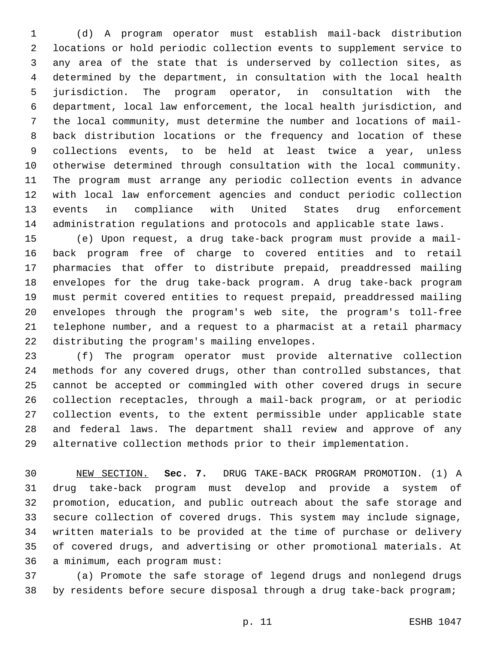(d) A program operator must establish mail-back distribution locations or hold periodic collection events to supplement service to any area of the state that is underserved by collection sites, as determined by the department, in consultation with the local health jurisdiction. The program operator, in consultation with the department, local law enforcement, the local health jurisdiction, and the local community, must determine the number and locations of mail- back distribution locations or the frequency and location of these collections events, to be held at least twice a year, unless otherwise determined through consultation with the local community. The program must arrange any periodic collection events in advance with local law enforcement agencies and conduct periodic collection events in compliance with United States drug enforcement administration regulations and protocols and applicable state laws.

 (e) Upon request, a drug take-back program must provide a mail- back program free of charge to covered entities and to retail pharmacies that offer to distribute prepaid, preaddressed mailing envelopes for the drug take-back program. A drug take-back program must permit covered entities to request prepaid, preaddressed mailing envelopes through the program's web site, the program's toll-free telephone number, and a request to a pharmacist at a retail pharmacy 22 distributing the program's mailing envelopes.

 (f) The program operator must provide alternative collection methods for any covered drugs, other than controlled substances, that cannot be accepted or commingled with other covered drugs in secure collection receptacles, through a mail-back program, or at periodic collection events, to the extent permissible under applicable state and federal laws. The department shall review and approve of any alternative collection methods prior to their implementation.

 NEW SECTION. **Sec. 7.** DRUG TAKE-BACK PROGRAM PROMOTION. (1) A drug take-back program must develop and provide a system of promotion, education, and public outreach about the safe storage and secure collection of covered drugs. This system may include signage, written materials to be provided at the time of purchase or delivery of covered drugs, and advertising or other promotional materials. At a minimum, each program must:

 (a) Promote the safe storage of legend drugs and nonlegend drugs by residents before secure disposal through a drug take-back program;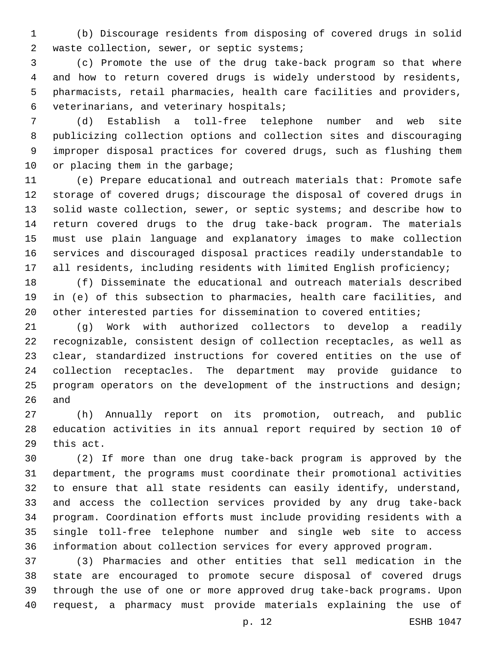(b) Discourage residents from disposing of covered drugs in solid 2 waste collection, sewer, or septic systems;

 (c) Promote the use of the drug take-back program so that where and how to return covered drugs is widely understood by residents, pharmacists, retail pharmacies, health care facilities and providers, 6 veterinarians, and veterinary hospitals;

 (d) Establish a toll-free telephone number and web site publicizing collection options and collection sites and discouraging improper disposal practices for covered drugs, such as flushing them 10 or placing them in the garbage;

 (e) Prepare educational and outreach materials that: Promote safe storage of covered drugs; discourage the disposal of covered drugs in solid waste collection, sewer, or septic systems; and describe how to return covered drugs to the drug take-back program. The materials must use plain language and explanatory images to make collection services and discouraged disposal practices readily understandable to all residents, including residents with limited English proficiency;

 (f) Disseminate the educational and outreach materials described in (e) of this subsection to pharmacies, health care facilities, and 20 other interested parties for dissemination to covered entities;

 (g) Work with authorized collectors to develop a readily recognizable, consistent design of collection receptacles, as well as clear, standardized instructions for covered entities on the use of collection receptacles. The department may provide guidance to program operators on the development of the instructions and design; and

 (h) Annually report on its promotion, outreach, and public education activities in its annual report required by section 10 of 29 this act.

 (2) If more than one drug take-back program is approved by the department, the programs must coordinate their promotional activities to ensure that all state residents can easily identify, understand, and access the collection services provided by any drug take-back program. Coordination efforts must include providing residents with a single toll-free telephone number and single web site to access information about collection services for every approved program.

 (3) Pharmacies and other entities that sell medication in the state are encouraged to promote secure disposal of covered drugs through the use of one or more approved drug take-back programs. Upon request, a pharmacy must provide materials explaining the use of

p. 12 ESHB 1047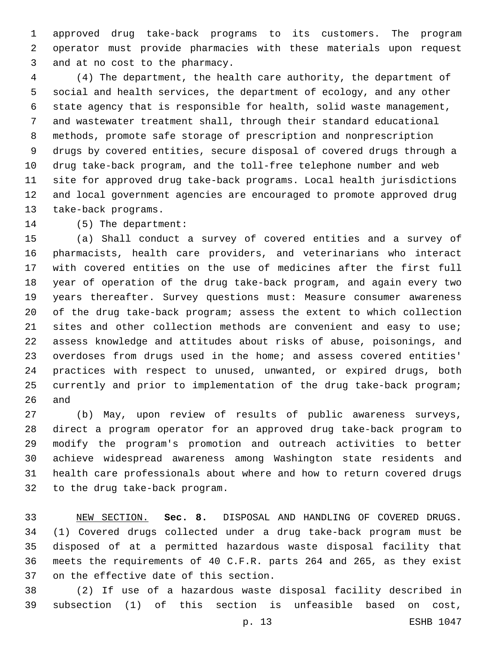approved drug take-back programs to its customers. The program operator must provide pharmacies with these materials upon request 3 and at no cost to the pharmacy.

 (4) The department, the health care authority, the department of social and health services, the department of ecology, and any other state agency that is responsible for health, solid waste management, and wastewater treatment shall, through their standard educational methods, promote safe storage of prescription and nonprescription drugs by covered entities, secure disposal of covered drugs through a drug take-back program, and the toll-free telephone number and web site for approved drug take-back programs. Local health jurisdictions and local government agencies are encouraged to promote approved drug 13 take-back programs.

14 (5) The department:

 (a) Shall conduct a survey of covered entities and a survey of pharmacists, health care providers, and veterinarians who interact with covered entities on the use of medicines after the first full year of operation of the drug take-back program, and again every two years thereafter. Survey questions must: Measure consumer awareness of the drug take-back program; assess the extent to which collection 21 sites and other collection methods are convenient and easy to use; assess knowledge and attitudes about risks of abuse, poisonings, and overdoses from drugs used in the home; and assess covered entities' practices with respect to unused, unwanted, or expired drugs, both currently and prior to implementation of the drug take-back program; and

 (b) May, upon review of results of public awareness surveys, direct a program operator for an approved drug take-back program to modify the program's promotion and outreach activities to better achieve widespread awareness among Washington state residents and health care professionals about where and how to return covered drugs 32 to the drug take-back program.

 NEW SECTION. **Sec. 8.** DISPOSAL AND HANDLING OF COVERED DRUGS. (1) Covered drugs collected under a drug take-back program must be disposed of at a permitted hazardous waste disposal facility that meets the requirements of 40 C.F.R. parts 264 and 265, as they exist on the effective date of this section.

 (2) If use of a hazardous waste disposal facility described in subsection (1) of this section is unfeasible based on cost,

p. 13 ESHB 1047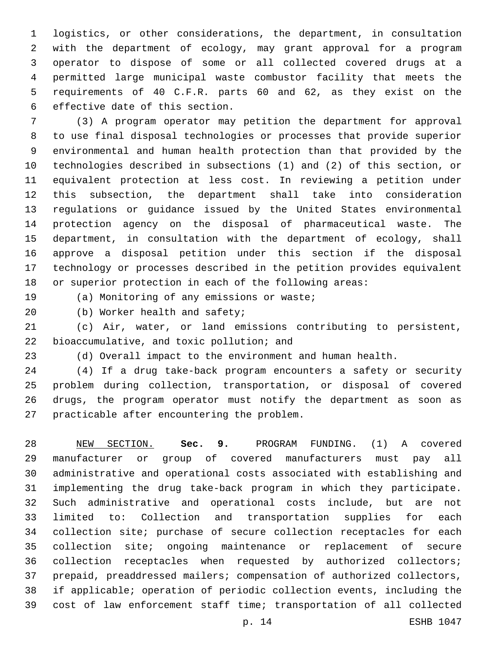logistics, or other considerations, the department, in consultation with the department of ecology, may grant approval for a program operator to dispose of some or all collected covered drugs at a permitted large municipal waste combustor facility that meets the requirements of 40 C.F.R. parts 60 and 62, as they exist on the 6 effective date of this section.

 (3) A program operator may petition the department for approval to use final disposal technologies or processes that provide superior environmental and human health protection than that provided by the technologies described in subsections (1) and (2) of this section, or equivalent protection at less cost. In reviewing a petition under this subsection, the department shall take into consideration regulations or guidance issued by the United States environmental protection agency on the disposal of pharmaceutical waste. The department, in consultation with the department of ecology, shall approve a disposal petition under this section if the disposal technology or processes described in the petition provides equivalent or superior protection in each of the following areas:

19 (a) Monitoring of any emissions or waste;

20 (b) Worker health and safety;

 (c) Air, water, or land emissions contributing to persistent, 22 bioaccumulative, and toxic pollution; and

(d) Overall impact to the environment and human health.

 (4) If a drug take-back program encounters a safety or security problem during collection, transportation, or disposal of covered drugs, the program operator must notify the department as soon as 27 practicable after encountering the problem.

 NEW SECTION. **Sec. 9.** PROGRAM FUNDING. (1) A covered manufacturer or group of covered manufacturers must pay all administrative and operational costs associated with establishing and implementing the drug take-back program in which they participate. Such administrative and operational costs include, but are not limited to: Collection and transportation supplies for each collection site; purchase of secure collection receptacles for each collection site; ongoing maintenance or replacement of secure collection receptacles when requested by authorized collectors; prepaid, preaddressed mailers; compensation of authorized collectors, if applicable; operation of periodic collection events, including the cost of law enforcement staff time; transportation of all collected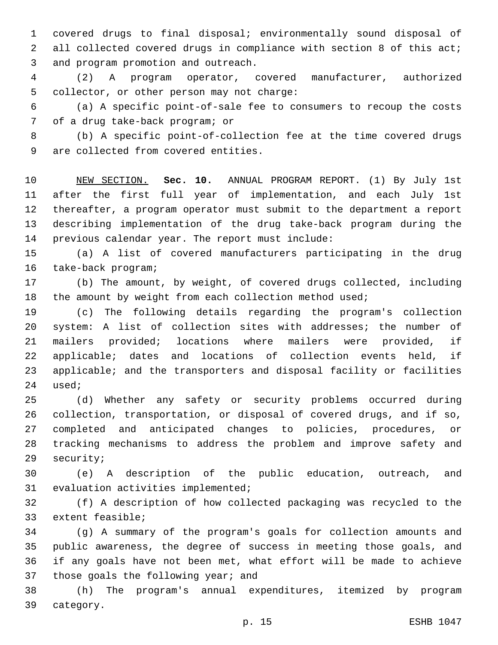covered drugs to final disposal; environmentally sound disposal of all collected covered drugs in compliance with section 8 of this act; 3 and program promotion and outreach.

 (2) A program operator, covered manufacturer, authorized 5 collector, or other person may not charge:

 (a) A specific point-of-sale fee to consumers to recoup the costs 7 of a drug take-back program; or

 (b) A specific point-of-collection fee at the time covered drugs 9 are collected from covered entities.

 NEW SECTION. **Sec. 10.** ANNUAL PROGRAM REPORT. (1) By July 1st after the first full year of implementation, and each July 1st thereafter, a program operator must submit to the department a report describing implementation of the drug take-back program during the previous calendar year. The report must include:

 (a) A list of covered manufacturers participating in the drug 16 take-back program;

 (b) The amount, by weight, of covered drugs collected, including 18 the amount by weight from each collection method used;

 (c) The following details regarding the program's collection system: A list of collection sites with addresses; the number of mailers provided; locations where mailers were provided, if applicable; dates and locations of collection events held, if applicable; and the transporters and disposal facility or facilities 24 used;

 (d) Whether any safety or security problems occurred during collection, transportation, or disposal of covered drugs, and if so, completed and anticipated changes to policies, procedures, or tracking mechanisms to address the problem and improve safety and 29 security;

 (e) A description of the public education, outreach, and 31 evaluation activities implemented;

 (f) A description of how collected packaging was recycled to the 33 extent feasible;

 (g) A summary of the program's goals for collection amounts and public awareness, the degree of success in meeting those goals, and if any goals have not been met, what effort will be made to achieve 37 those goals the following year; and

 (h) The program's annual expenditures, itemized by program 39 category.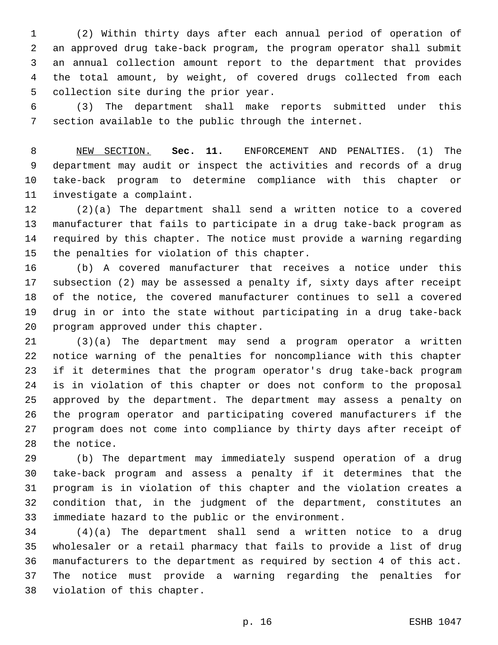(2) Within thirty days after each annual period of operation of an approved drug take-back program, the program operator shall submit an annual collection amount report to the department that provides the total amount, by weight, of covered drugs collected from each 5 collection site during the prior year.

 (3) The department shall make reports submitted under this section available to the public through the internet.

 NEW SECTION. **Sec. 11.** ENFORCEMENT AND PENALTIES. (1) The department may audit or inspect the activities and records of a drug take-back program to determine compliance with this chapter or investigate a complaint.

 (2)(a) The department shall send a written notice to a covered manufacturer that fails to participate in a drug take-back program as required by this chapter. The notice must provide a warning regarding 15 the penalties for violation of this chapter.

 (b) A covered manufacturer that receives a notice under this subsection (2) may be assessed a penalty if, sixty days after receipt of the notice, the covered manufacturer continues to sell a covered drug in or into the state without participating in a drug take-back 20 program approved under this chapter.

 (3)(a) The department may send a program operator a written notice warning of the penalties for noncompliance with this chapter if it determines that the program operator's drug take-back program is in violation of this chapter or does not conform to the proposal approved by the department. The department may assess a penalty on the program operator and participating covered manufacturers if the program does not come into compliance by thirty days after receipt of 28 the notice.

 (b) The department may immediately suspend operation of a drug take-back program and assess a penalty if it determines that the program is in violation of this chapter and the violation creates a condition that, in the judgment of the department, constitutes an immediate hazard to the public or the environment.

 (4)(a) The department shall send a written notice to a drug wholesaler or a retail pharmacy that fails to provide a list of drug manufacturers to the department as required by section 4 of this act. The notice must provide a warning regarding the penalties for 38 violation of this chapter.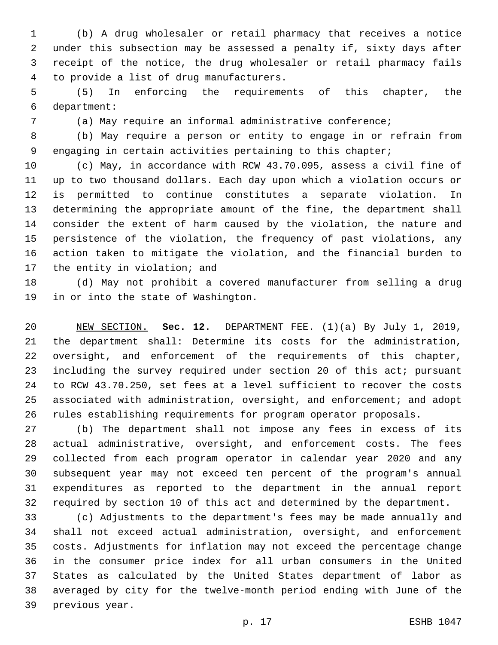(b) A drug wholesaler or retail pharmacy that receives a notice under this subsection may be assessed a penalty if, sixty days after receipt of the notice, the drug wholesaler or retail pharmacy fails 4 to provide a list of drug manufacturers.

 (5) In enforcing the requirements of this chapter, the department:6

(a) May require an informal administrative conference;

 (b) May require a person or entity to engage in or refrain from engaging in certain activities pertaining to this chapter;

 (c) May, in accordance with RCW 43.70.095, assess a civil fine of up to two thousand dollars. Each day upon which a violation occurs or is permitted to continue constitutes a separate violation. In determining the appropriate amount of the fine, the department shall consider the extent of harm caused by the violation, the nature and persistence of the violation, the frequency of past violations, any action taken to mitigate the violation, and the financial burden to 17 the entity in violation; and

 (d) May not prohibit a covered manufacturer from selling a drug 19 in or into the state of Washington.

 NEW SECTION. **Sec. 12.** DEPARTMENT FEE. (1)(a) By July 1, 2019, the department shall: Determine its costs for the administration, oversight, and enforcement of the requirements of this chapter, including the survey required under section 20 of this act; pursuant to RCW 43.70.250, set fees at a level sufficient to recover the costs associated with administration, oversight, and enforcement; and adopt rules establishing requirements for program operator proposals.

 (b) The department shall not impose any fees in excess of its actual administrative, oversight, and enforcement costs. The fees collected from each program operator in calendar year 2020 and any subsequent year may not exceed ten percent of the program's annual expenditures as reported to the department in the annual report required by section 10 of this act and determined by the department.

 (c) Adjustments to the department's fees may be made annually and shall not exceed actual administration, oversight, and enforcement costs. Adjustments for inflation may not exceed the percentage change in the consumer price index for all urban consumers in the United States as calculated by the United States department of labor as averaged by city for the twelve-month period ending with June of the 39 previous year.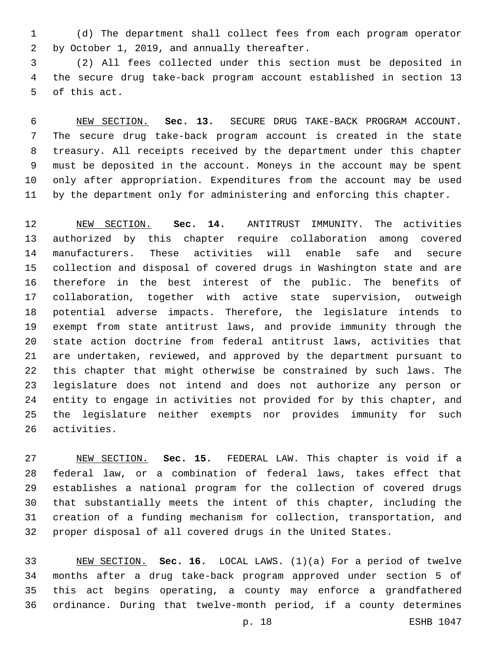(d) The department shall collect fees from each program operator by October 1, 2019, and annually thereafter.2

 (2) All fees collected under this section must be deposited in the secure drug take-back program account established in section 13 5 of this act.

 NEW SECTION. **Sec. 13.** SECURE DRUG TAKE-BACK PROGRAM ACCOUNT. The secure drug take-back program account is created in the state treasury. All receipts received by the department under this chapter must be deposited in the account. Moneys in the account may be spent only after appropriation. Expenditures from the account may be used by the department only for administering and enforcing this chapter.

 NEW SECTION. **Sec. 14.** ANTITRUST IMMUNITY. The activities authorized by this chapter require collaboration among covered manufacturers. These activities will enable safe and secure collection and disposal of covered drugs in Washington state and are therefore in the best interest of the public. The benefits of collaboration, together with active state supervision, outweigh potential adverse impacts. Therefore, the legislature intends to exempt from state antitrust laws, and provide immunity through the state action doctrine from federal antitrust laws, activities that are undertaken, reviewed, and approved by the department pursuant to this chapter that might otherwise be constrained by such laws. The legislature does not intend and does not authorize any person or entity to engage in activities not provided for by this chapter, and the legislature neither exempts nor provides immunity for such activities.

 NEW SECTION. **Sec. 15.** FEDERAL LAW. This chapter is void if a federal law, or a combination of federal laws, takes effect that establishes a national program for the collection of covered drugs that substantially meets the intent of this chapter, including the creation of a funding mechanism for collection, transportation, and proper disposal of all covered drugs in the United States.

 NEW SECTION. **Sec. 16.** LOCAL LAWS. (1)(a) For a period of twelve months after a drug take-back program approved under section 5 of this act begins operating, a county may enforce a grandfathered ordinance. During that twelve-month period, if a county determines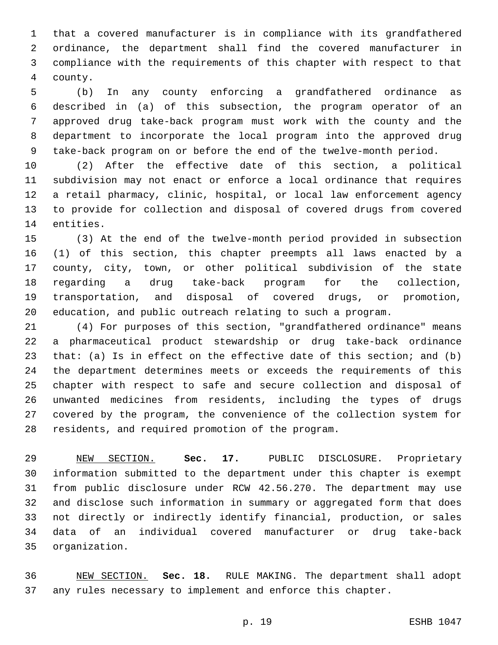that a covered manufacturer is in compliance with its grandfathered ordinance, the department shall find the covered manufacturer in compliance with the requirements of this chapter with respect to that 4 county.

 (b) In any county enforcing a grandfathered ordinance as described in (a) of this subsection, the program operator of an approved drug take-back program must work with the county and the department to incorporate the local program into the approved drug take-back program on or before the end of the twelve-month period.

 (2) After the effective date of this section, a political subdivision may not enact or enforce a local ordinance that requires a retail pharmacy, clinic, hospital, or local law enforcement agency to provide for collection and disposal of covered drugs from covered 14 entities.

 (3) At the end of the twelve-month period provided in subsection (1) of this section, this chapter preempts all laws enacted by a county, city, town, or other political subdivision of the state regarding a drug take-back program for the collection, transportation, and disposal of covered drugs, or promotion, education, and public outreach relating to such a program.

 (4) For purposes of this section, "grandfathered ordinance" means a pharmaceutical product stewardship or drug take-back ordinance that: (a) Is in effect on the effective date of this section; and (b) the department determines meets or exceeds the requirements of this chapter with respect to safe and secure collection and disposal of unwanted medicines from residents, including the types of drugs covered by the program, the convenience of the collection system for 28 residents, and required promotion of the program.

 NEW SECTION. **Sec. 17.** PUBLIC DISCLOSURE. Proprietary information submitted to the department under this chapter is exempt from public disclosure under RCW 42.56.270. The department may use and disclose such information in summary or aggregated form that does not directly or indirectly identify financial, production, or sales data of an individual covered manufacturer or drug take-back organization.

 NEW SECTION. **Sec. 18.** RULE MAKING. The department shall adopt any rules necessary to implement and enforce this chapter.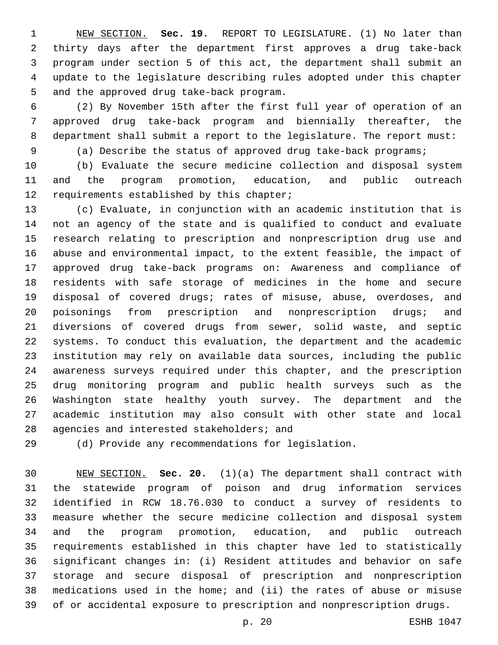NEW SECTION. **Sec. 19.** REPORT TO LEGISLATURE. (1) No later than thirty days after the department first approves a drug take-back program under section 5 of this act, the department shall submit an update to the legislature describing rules adopted under this chapter and the approved drug take-back program.

 (2) By November 15th after the first full year of operation of an approved drug take-back program and biennially thereafter, the department shall submit a report to the legislature. The report must:

(a) Describe the status of approved drug take-back programs;

 (b) Evaluate the secure medicine collection and disposal system and the program promotion, education, and public outreach 12 requirements established by this chapter;

 (c) Evaluate, in conjunction with an academic institution that is not an agency of the state and is qualified to conduct and evaluate research relating to prescription and nonprescription drug use and abuse and environmental impact, to the extent feasible, the impact of approved drug take-back programs on: Awareness and compliance of residents with safe storage of medicines in the home and secure disposal of covered drugs; rates of misuse, abuse, overdoses, and poisonings from prescription and nonprescription drugs; and diversions of covered drugs from sewer, solid waste, and septic systems. To conduct this evaluation, the department and the academic institution may rely on available data sources, including the public awareness surveys required under this chapter, and the prescription drug monitoring program and public health surveys such as the Washington state healthy youth survey. The department and the academic institution may also consult with other state and local 28 agencies and interested stakeholders; and

(d) Provide any recommendations for legislation.

 NEW SECTION. **Sec. 20.** (1)(a) The department shall contract with the statewide program of poison and drug information services identified in RCW 18.76.030 to conduct a survey of residents to measure whether the secure medicine collection and disposal system and the program promotion, education, and public outreach requirements established in this chapter have led to statistically significant changes in: (i) Resident attitudes and behavior on safe storage and secure disposal of prescription and nonprescription medications used in the home; and (ii) the rates of abuse or misuse of or accidental exposure to prescription and nonprescription drugs.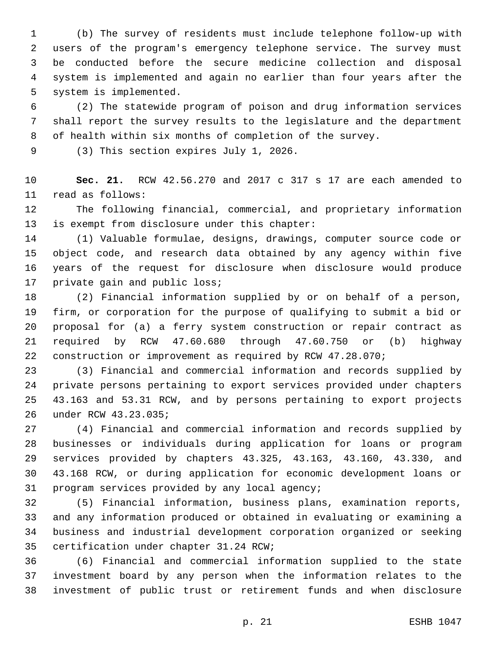(b) The survey of residents must include telephone follow-up with users of the program's emergency telephone service. The survey must be conducted before the secure medicine collection and disposal system is implemented and again no earlier than four years after the 5 system is implemented.

 (2) The statewide program of poison and drug information services shall report the survey results to the legislature and the department of health within six months of completion of the survey.

9 (3) This section expires July 1, 2026.

 **Sec. 21.** RCW 42.56.270 and 2017 c 317 s 17 are each amended to 11 read as follows:

 The following financial, commercial, and proprietary information 13 is exempt from disclosure under this chapter:

 (1) Valuable formulae, designs, drawings, computer source code or object code, and research data obtained by any agency within five years of the request for disclosure when disclosure would produce 17 private gain and public loss;

 (2) Financial information supplied by or on behalf of a person, firm, or corporation for the purpose of qualifying to submit a bid or proposal for (a) a ferry system construction or repair contract as required by RCW 47.60.680 through 47.60.750 or (b) highway construction or improvement as required by RCW 47.28.070;

 (3) Financial and commercial information and records supplied by private persons pertaining to export services provided under chapters 43.163 and 53.31 RCW, and by persons pertaining to export projects under RCW 43.23.035;26

 (4) Financial and commercial information and records supplied by businesses or individuals during application for loans or program services provided by chapters 43.325, 43.163, 43.160, 43.330, and 43.168 RCW, or during application for economic development loans or 31 program services provided by any local agency;

 (5) Financial information, business plans, examination reports, and any information produced or obtained in evaluating or examining a business and industrial development corporation organized or seeking 35 certification under chapter 31.24 RCW;

 (6) Financial and commercial information supplied to the state investment board by any person when the information relates to the investment of public trust or retirement funds and when disclosure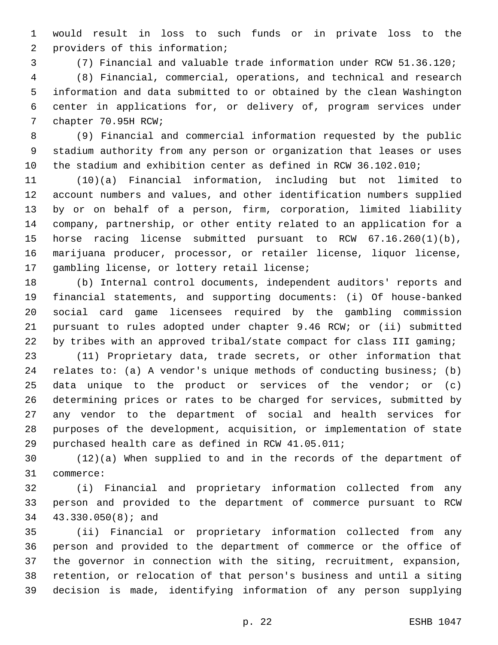would result in loss to such funds or in private loss to the 2 providers of this information;

(7) Financial and valuable trade information under RCW 51.36.120;

 (8) Financial, commercial, operations, and technical and research information and data submitted to or obtained by the clean Washington center in applications for, or delivery of, program services under 7 chapter 70.95H RCW;

 (9) Financial and commercial information requested by the public stadium authority from any person or organization that leases or uses the stadium and exhibition center as defined in RCW 36.102.010;

 (10)(a) Financial information, including but not limited to account numbers and values, and other identification numbers supplied by or on behalf of a person, firm, corporation, limited liability company, partnership, or other entity related to an application for a horse racing license submitted pursuant to RCW 67.16.260(1)(b), marijuana producer, processor, or retailer license, liquor license, 17 gambling license, or lottery retail license;

 (b) Internal control documents, independent auditors' reports and financial statements, and supporting documents: (i) Of house-banked social card game licensees required by the gambling commission pursuant to rules adopted under chapter 9.46 RCW; or (ii) submitted by tribes with an approved tribal/state compact for class III gaming;

 (11) Proprietary data, trade secrets, or other information that relates to: (a) A vendor's unique methods of conducting business; (b) data unique to the product or services of the vendor; or (c) determining prices or rates to be charged for services, submitted by any vendor to the department of social and health services for purposes of the development, acquisition, or implementation of state purchased health care as defined in RCW 41.05.011;

 (12)(a) When supplied to and in the records of the department of 31 commerce:

 (i) Financial and proprietary information collected from any person and provided to the department of commerce pursuant to RCW 34 43.330.050(8); and

 (ii) Financial or proprietary information collected from any person and provided to the department of commerce or the office of the governor in connection with the siting, recruitment, expansion, retention, or relocation of that person's business and until a siting decision is made, identifying information of any person supplying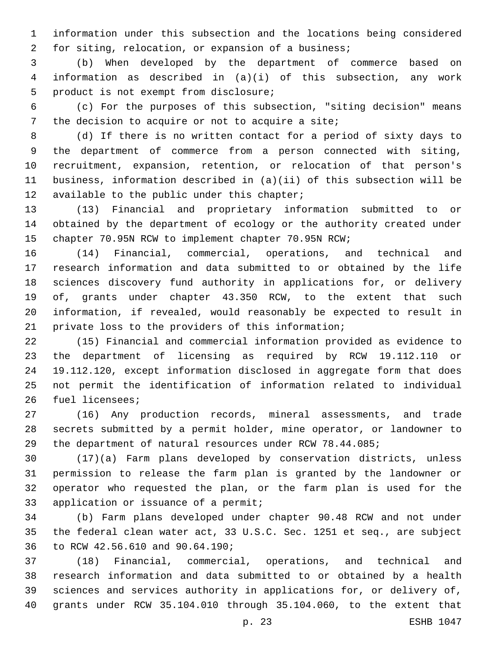information under this subsection and the locations being considered for siting, relocation, or expansion of a business;

 (b) When developed by the department of commerce based on information as described in (a)(i) of this subsection, any work 5 product is not exempt from disclosure;

 (c) For the purposes of this subsection, "siting decision" means 7 the decision to acquire or not to acquire a site;

 (d) If there is no written contact for a period of sixty days to the department of commerce from a person connected with siting, recruitment, expansion, retention, or relocation of that person's business, information described in (a)(ii) of this subsection will be 12 available to the public under this chapter;

 (13) Financial and proprietary information submitted to or obtained by the department of ecology or the authority created under chapter 70.95N RCW to implement chapter 70.95N RCW;

 (14) Financial, commercial, operations, and technical and research information and data submitted to or obtained by the life sciences discovery fund authority in applications for, or delivery of, grants under chapter 43.350 RCW, to the extent that such information, if revealed, would reasonably be expected to result in private loss to the providers of this information;

 (15) Financial and commercial information provided as evidence to the department of licensing as required by RCW 19.112.110 or 19.112.120, except information disclosed in aggregate form that does not permit the identification of information related to individual 26 fuel licensees;

 (16) Any production records, mineral assessments, and trade secrets submitted by a permit holder, mine operator, or landowner to the department of natural resources under RCW 78.44.085;

 (17)(a) Farm plans developed by conservation districts, unless permission to release the farm plan is granted by the landowner or operator who requested the plan, or the farm plan is used for the 33 application or issuance of a permit;

 (b) Farm plans developed under chapter 90.48 RCW and not under the federal clean water act, 33 U.S.C. Sec. 1251 et seq., are subject 36 to RCW 42.56.610 and 90.64.190;

 (18) Financial, commercial, operations, and technical and research information and data submitted to or obtained by a health sciences and services authority in applications for, or delivery of, grants under RCW 35.104.010 through 35.104.060, to the extent that

p. 23 ESHB 1047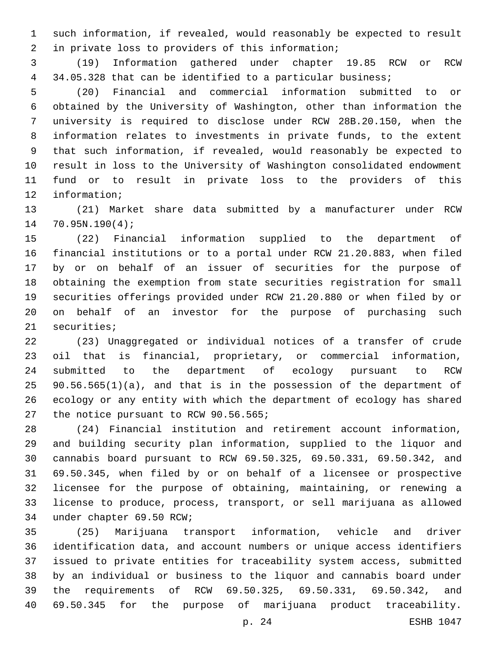such information, if revealed, would reasonably be expected to result 2 in private loss to providers of this information;

 (19) Information gathered under chapter 19.85 RCW or RCW 34.05.328 that can be identified to a particular business;

 (20) Financial and commercial information submitted to or obtained by the University of Washington, other than information the university is required to disclose under RCW 28B.20.150, when the information relates to investments in private funds, to the extent that such information, if revealed, would reasonably be expected to result in loss to the University of Washington consolidated endowment fund or to result in private loss to the providers of this 12 information;

 (21) Market share data submitted by a manufacturer under RCW 14 70.95N.190(4);

 (22) Financial information supplied to the department of financial institutions or to a portal under RCW 21.20.883, when filed by or on behalf of an issuer of securities for the purpose of obtaining the exemption from state securities registration for small securities offerings provided under RCW 21.20.880 or when filed by or on behalf of an investor for the purpose of purchasing such 21 securities;

 (23) Unaggregated or individual notices of a transfer of crude oil that is financial, proprietary, or commercial information, submitted to the department of ecology pursuant to RCW 90.56.565(1)(a), and that is in the possession of the department of ecology or any entity with which the department of ecology has shared 27 the notice pursuant to RCW 90.56.565;

 (24) Financial institution and retirement account information, and building security plan information, supplied to the liquor and cannabis board pursuant to RCW 69.50.325, 69.50.331, 69.50.342, and 69.50.345, when filed by or on behalf of a licensee or prospective licensee for the purpose of obtaining, maintaining, or renewing a license to produce, process, transport, or sell marijuana as allowed 34 under chapter 69.50 RCW;

 (25) Marijuana transport information, vehicle and driver identification data, and account numbers or unique access identifiers issued to private entities for traceability system access, submitted by an individual or business to the liquor and cannabis board under the requirements of RCW 69.50.325, 69.50.331, 69.50.342, and 69.50.345 for the purpose of marijuana product traceability.

p. 24 ESHB 1047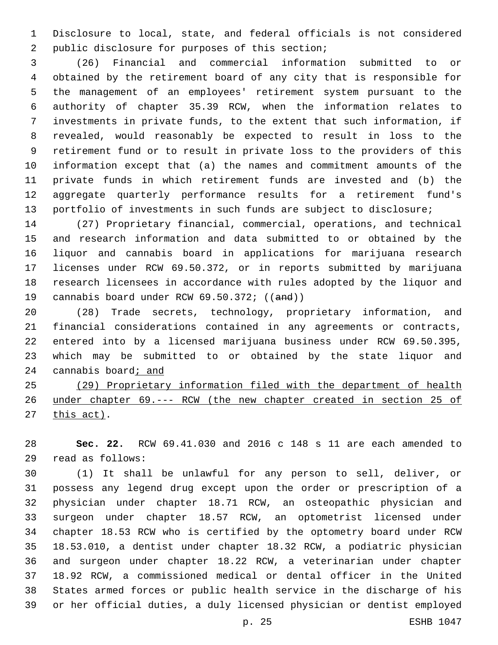Disclosure to local, state, and federal officials is not considered 2 public disclosure for purposes of this section;

 (26) Financial and commercial information submitted to or obtained by the retirement board of any city that is responsible for the management of an employees' retirement system pursuant to the authority of chapter 35.39 RCW, when the information relates to investments in private funds, to the extent that such information, if revealed, would reasonably be expected to result in loss to the retirement fund or to result in private loss to the providers of this information except that (a) the names and commitment amounts of the private funds in which retirement funds are invested and (b) the aggregate quarterly performance results for a retirement fund's portfolio of investments in such funds are subject to disclosure;

 (27) Proprietary financial, commercial, operations, and technical and research information and data submitted to or obtained by the liquor and cannabis board in applications for marijuana research licenses under RCW 69.50.372, or in reports submitted by marijuana research licensees in accordance with rules adopted by the liquor and 19 cannabis board under RCW 69.50.372; ((and))

 (28) Trade secrets, technology, proprietary information, and financial considerations contained in any agreements or contracts, entered into by a licensed marijuana business under RCW 69.50.395, which may be submitted to or obtained by the state liquor and 24 cannabis board; and

 (29) Proprietary information filed with the department of health under chapter 69.--- RCW (the new chapter created in section 25 of this act).

 **Sec. 22.** RCW 69.41.030 and 2016 c 148 s 11 are each amended to read as follows:29

 (1) It shall be unlawful for any person to sell, deliver, or possess any legend drug except upon the order or prescription of a physician under chapter 18.71 RCW, an osteopathic physician and surgeon under chapter 18.57 RCW, an optometrist licensed under chapter 18.53 RCW who is certified by the optometry board under RCW 18.53.010, a dentist under chapter 18.32 RCW, a podiatric physician and surgeon under chapter 18.22 RCW, a veterinarian under chapter 18.92 RCW, a commissioned medical or dental officer in the United States armed forces or public health service in the discharge of his or her official duties, a duly licensed physician or dentist employed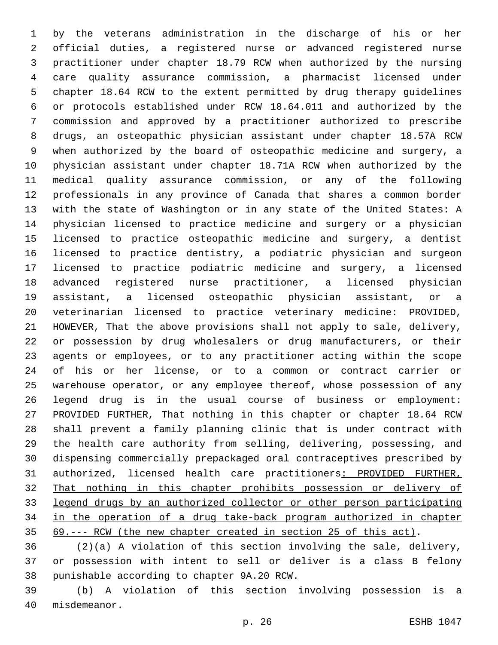by the veterans administration in the discharge of his or her official duties, a registered nurse or advanced registered nurse practitioner under chapter 18.79 RCW when authorized by the nursing care quality assurance commission, a pharmacist licensed under chapter 18.64 RCW to the extent permitted by drug therapy guidelines or protocols established under RCW 18.64.011 and authorized by the commission and approved by a practitioner authorized to prescribe drugs, an osteopathic physician assistant under chapter 18.57A RCW when authorized by the board of osteopathic medicine and surgery, a physician assistant under chapter 18.71A RCW when authorized by the medical quality assurance commission, or any of the following professionals in any province of Canada that shares a common border with the state of Washington or in any state of the United States: A physician licensed to practice medicine and surgery or a physician licensed to practice osteopathic medicine and surgery, a dentist licensed to practice dentistry, a podiatric physician and surgeon licensed to practice podiatric medicine and surgery, a licensed advanced registered nurse practitioner, a licensed physician assistant, a licensed osteopathic physician assistant, or a veterinarian licensed to practice veterinary medicine: PROVIDED, HOWEVER, That the above provisions shall not apply to sale, delivery, or possession by drug wholesalers or drug manufacturers, or their agents or employees, or to any practitioner acting within the scope of his or her license, or to a common or contract carrier or warehouse operator, or any employee thereof, whose possession of any legend drug is in the usual course of business or employment: PROVIDED FURTHER, That nothing in this chapter or chapter 18.64 RCW shall prevent a family planning clinic that is under contract with the health care authority from selling, delivering, possessing, and dispensing commercially prepackaged oral contraceptives prescribed by authorized, licensed health care practitioners: PROVIDED FURTHER, That nothing in this chapter prohibits possession or delivery of legend drugs by an authorized collector or other person participating in the operation of a drug take-back program authorized in chapter 69.--- RCW (the new chapter created in section 25 of this act).

 (2)(a) A violation of this section involving the sale, delivery, or possession with intent to sell or deliver is a class B felony 38 punishable according to chapter 9A.20 RCW.

 (b) A violation of this section involving possession is a 40 misdemeanor.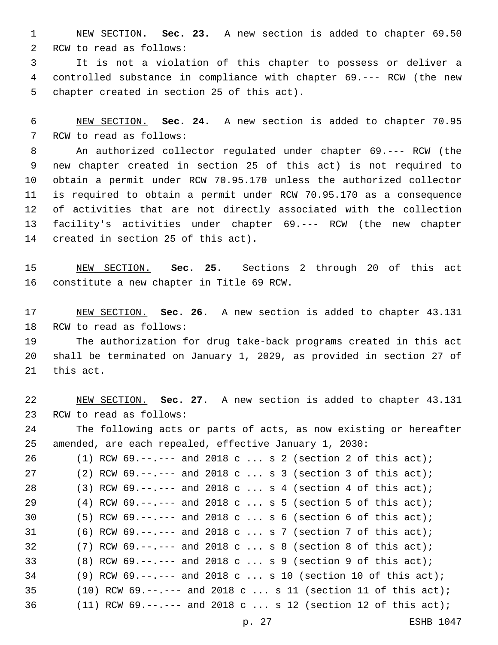NEW SECTION. **Sec. 23.** A new section is added to chapter 69.50 2 RCW to read as follows:

 It is not a violation of this chapter to possess or deliver a controlled substance in compliance with chapter 69.--- RCW (the new 5 chapter created in section 25 of this act).

 NEW SECTION. **Sec. 24.** A new section is added to chapter 70.95 7 RCW to read as follows:

 An authorized collector regulated under chapter 69.--- RCW (the new chapter created in section 25 of this act) is not required to obtain a permit under RCW 70.95.170 unless the authorized collector is required to obtain a permit under RCW 70.95.170 as a consequence of activities that are not directly associated with the collection facility's activities under chapter 69.--- RCW (the new chapter 14 created in section 25 of this act).

 NEW SECTION. **Sec. 25.** Sections 2 through 20 of this act constitute a new chapter in Title 69 RCW.

 NEW SECTION. **Sec. 26.** A new section is added to chapter 43.131 18 RCW to read as follows:

 The authorization for drug take-back programs created in this act shall be terminated on January 1, 2029, as provided in section 27 of 21 this act.

 NEW SECTION. **Sec. 27.** A new section is added to chapter 43.131 23 RCW to read as follows: The following acts or parts of acts, as now existing or hereafter amended, are each repealed, effective January 1, 2030: (1) RCW 69.--.--- and 2018 c ... s 2 (section 2 of this act); (2) RCW 69.--.--- and 2018 c ... s 3 (section 3 of this act); 28 (3) RCW 69.--.--- and 2018 c ... s 4 (section 4 of this act); (4) RCW 69.--.--- and 2018 c ... s 5 (section 5 of this act); (5) RCW 69.--.--- and 2018 c ... s 6 (section 6 of this act); (6) RCW 69.--.--- and 2018 c ... s 7 (section 7 of this act); (7) RCW 69.--.--- and 2018 c ... s 8 (section 8 of this act); (8) RCW 69.--.--- and 2018 c ... s 9 (section 9 of this act); (9) RCW 69.--.--- and 2018 c ... s 10 (section 10 of this act); 35 (10) RCW  $69. -- ---$  and  $2018$  c ... s 11 (section 11 of this act); (11) RCW 69.--.--- and 2018 c ... s 12 (section 12 of this act);